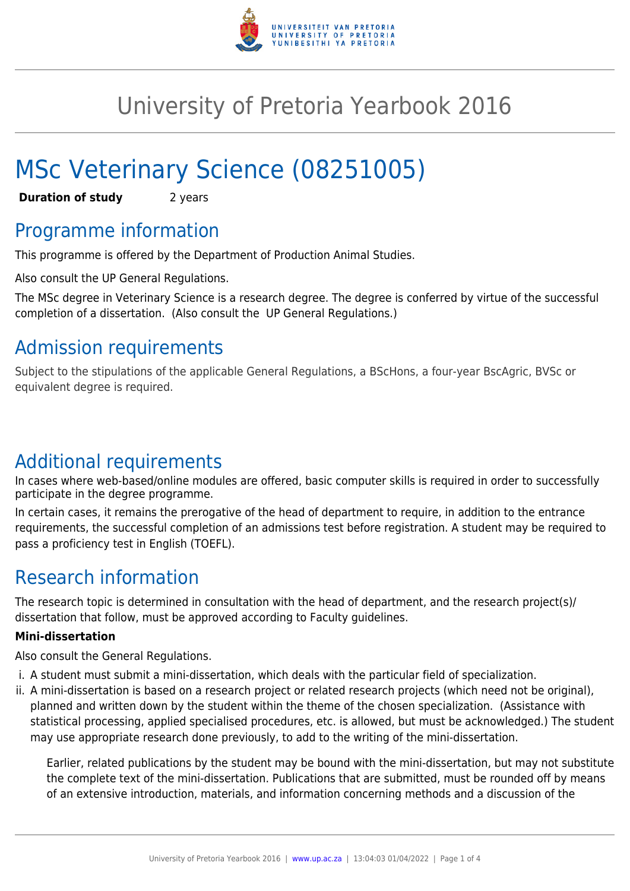

# University of Pretoria Yearbook 2016

# MSc Veterinary Science (08251005)

**Duration of study** 2 years

# Programme information

This programme is offered by the Department of Production Animal Studies.

Also consult the UP General Regulations.

The MSc degree in Veterinary Science is a research degree. The degree is conferred by virtue of the successful completion of a dissertation. (Also consult the UP General Regulations.)

# Admission requirements

Subject to the stipulations of the applicable General Regulations, a BScHons, a four-year BscAgric, BVSc or equivalent degree is required.

# Additional requirements

In cases where web-based/online modules are offered, basic computer skills is required in order to successfully participate in the degree programme.

In certain cases, it remains the prerogative of the head of department to require, in addition to the entrance requirements, the successful completion of an admissions test before registration. A student may be required to pass a proficiency test in English (TOEFL).

# Research information

The research topic is determined in consultation with the head of department, and the research project(s)/ dissertation that follow, must be approved according to Faculty guidelines.

### **Mini-dissertation**

Also consult the General Regulations.

- i. A student must submit a mini-dissertation, which deals with the particular field of specialization.
- ii. A mini-dissertation is based on a research project or related research projects (which need not be original), planned and written down by the student within the theme of the chosen specialization. (Assistance with statistical processing, applied specialised procedures, etc. is allowed, but must be acknowledged.) The student may use appropriate research done previously, to add to the writing of the mini-dissertation.

Earlier, related publications by the student may be bound with the mini-dissertation, but may not substitute the complete text of the mini-dissertation. Publications that are submitted, must be rounded off by means of an extensive introduction, materials, and information concerning methods and a discussion of the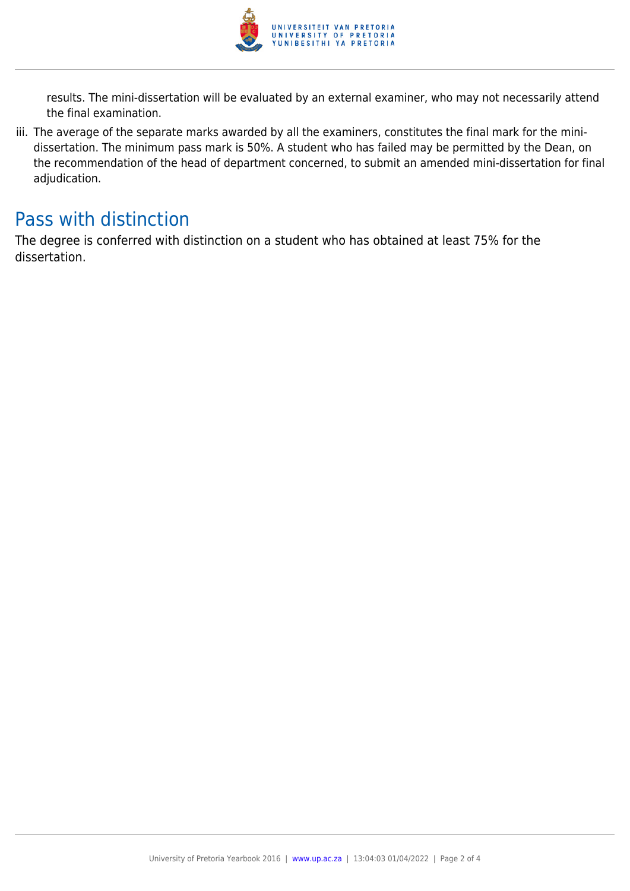

results. The mini-dissertation will be evaluated by an external examiner, who may not necessarily attend the final examination.

iii. The average of the separate marks awarded by all the examiners, constitutes the final mark for the minidissertation. The minimum pass mark is 50%. A student who has failed may be permitted by the Dean, on the recommendation of the head of department concerned, to submit an amended mini-dissertation for final adjudication.

### Pass with distinction

The degree is conferred with distinction on a student who has obtained at least 75% for the dissertation.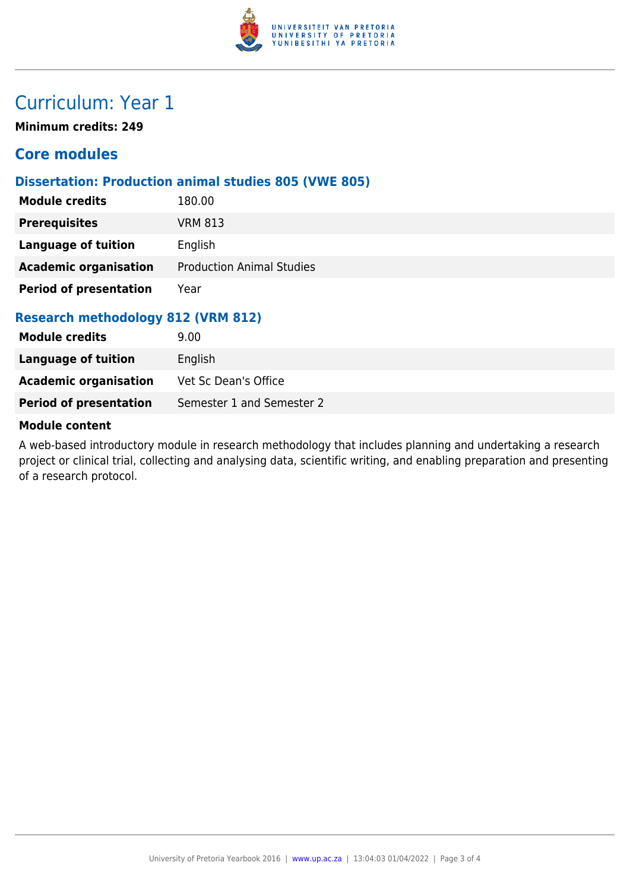

# Curriculum: Year 1

**Minimum credits: 249**

### **Core modules**

#### **Dissertation: Production animal studies 805 (VWE 805)**

| <b>Module credits</b>              | 180.00                           |  |
|------------------------------------|----------------------------------|--|
| <b>Prerequisites</b>               | <b>VRM 813</b>                   |  |
| Language of tuition                | English                          |  |
| <b>Academic organisation</b>       | <b>Production Animal Studies</b> |  |
| <b>Period of presentation</b>      | Year                             |  |
| Research methodology 812 (VRM 812) |                                  |  |

### **Research methodology 812 (VRM 812)**

| <b>Module credits</b>         | 9.00                      |
|-------------------------------|---------------------------|
| Language of tuition           | English                   |
| <b>Academic organisation</b>  | Vet Sc Dean's Office      |
| <b>Period of presentation</b> | Semester 1 and Semester 2 |

#### **Module content**

A web-based introductory module in research methodology that includes planning and undertaking a research project or clinical trial, collecting and analysing data, scientific writing, and enabling preparation and presenting of a research protocol.